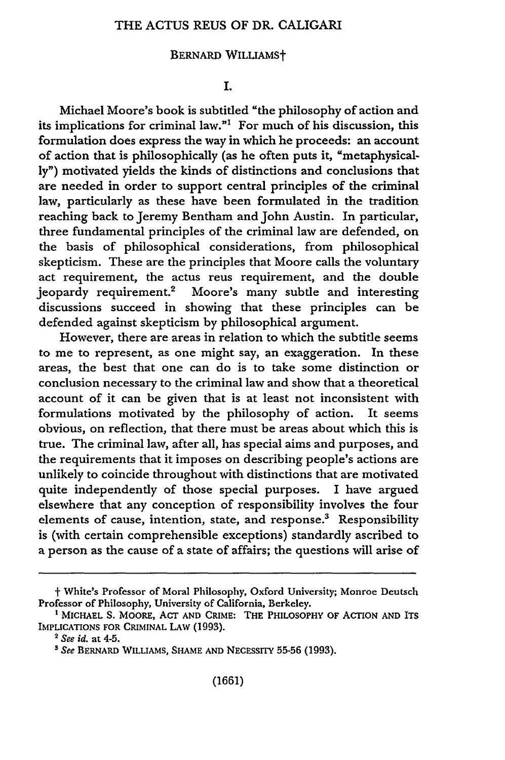## BERNARD WILLIAMSt

## I.

Michael Moore's book is subtitled "the philosophy of action and its implications for criminal law."' For much of his discussion, this formulation does express the way in which he proceeds: an account of action that is philosophically (as he often puts it, "metaphysically") motivated yields the kinds of distinctions and conclusions that are needed in order to support central principles of the criminal law, particularly as these have been formulated in the tradition reaching back to Jeremy Bentham and John Austin. In particular, three fundamental principles of the criminal law are defended, on the basis of philosophical considerations, from philosophical skepticism. These are the principles that Moore calls the voluntary act requirement, the actus reus requirement, and the double jeopardy requirement.<sup>2</sup> Moore's many subtle and interesting discussions succeed in showing that these principles can be defended against skepticism by philosophical argument.

However, there are areas in relation to which the subtitle seems to me to represent, as one might say, an exaggeration. In these areas, the best that one can do is to take some distinction or conclusion necessary to the criminal law and show that a theoretical account of it can be given that is at least not inconsistent with formulations motivated by the philosophy of action. It seems obvious, on reflection, that there must be areas about which this is true. The criminal law, after all, has special aims and purposes, and the requirements that it imposes on describing people's actions are unlikely to coincide throughout with distinctions that are motivated quite independently of those special purposes. I have argued elsewhere that any conception of responsibility involves the four elements of cause, intention, state, and response.<sup>3</sup> Responsibility is (with certain comprehensible exceptions) standardly ascribed to a person as the cause of a state of affairs; the questions will arise of

t White's Professor of Moral Philosophy, Oxford University; Monroe Deutsch Professor of Philosophy, University of California, Berkeley. **<sup>1</sup>**MICHAEL S. MOORE, **ACT** AND CRIME: THE PHILOSOPHY OF ACTION AND ITS

IMPLICATIONS FOR CRIMINAL LAw (1993).

<sup>2</sup> *See id.* at 4-5.

<sup>&</sup>lt;sup>3</sup> See BERNARD WILLIAMS, SHAME AND NECESSITY 55-56 (1993).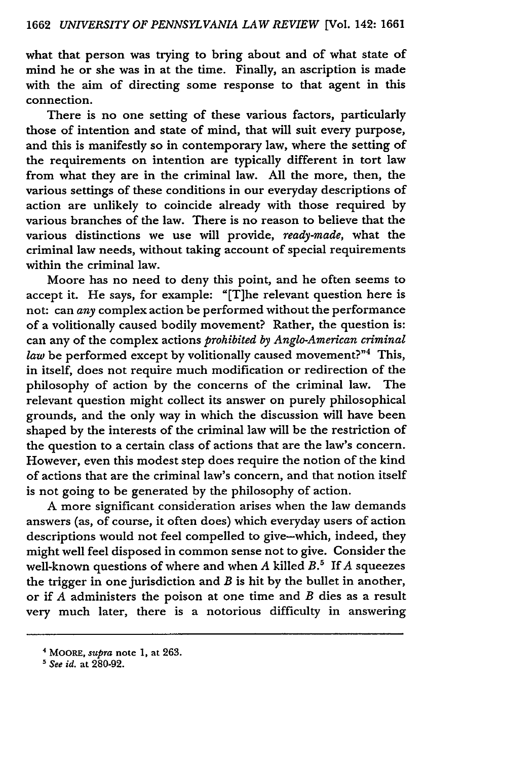what that person was trying to bring about and of what state of mind he or she was in at the time. Finally, an ascription is made with the aim of directing some response to that agent in this connection.

There is no one setting of these various factors, particularly those of intention and state of mind, that will suit every purpose, and this is manifestly so in contemporary law, where the setting of the requirements on intention are typically different in tort law from what they are in the criminal law. **All** the more, then, the various settings of these conditions in our everyday descriptions of action are unlikely to coincide already with those required **by** various branches of the law. There is no reason to believe that the various distinctions we use will provide, *ready-made,* what the criminal law needs, without taking account of special requirements within the criminal law.

Moore has no need to deny this point, and he often seems to accept it. He says, for example: "[T]he relevant question here is not: can *any* complex action be performed without the performance of a volitionally caused bodily movement? Rather, the question is: can any of the complex actions *prohibited by Anglo-American criminal law* be performed except **by** volitionally caused movement?"4 This, in itself, does not require much modification or redirection of the philosophy of action by the concerns of the criminal law. The relevant question might collect its answer on purely philosophical grounds, and the only way in which the discussion will have been shaped **by** the interests of the criminal law will be the restriction of the question to a certain class of actions that are the law's concern. However, even this modest step does require the notion of the kind of actions that are the criminal law's concern, and that notion itself is not going to be generated **by** the philosophy of action.

A more significant consideration arises when the law demands answers (as, of course, it often does) which everyday users of action descriptions would not feel compelled to give-which, indeed, they might well feel disposed in common sense not to give. Consider the well-known questions of where and when *A* killed *B.<sup>5</sup>*If *A* squeezes the trigger in one jurisdiction and *B* is hit **by** the bullet in another, or if *A* administers the poison at one time and *B* dies as a result very much later, there is a notorious difficulty in answering

<sup>4</sup> MOORE, *supra* **note 1,** at 263.

*<sup>&#</sup>x27;See id.* at 280-92.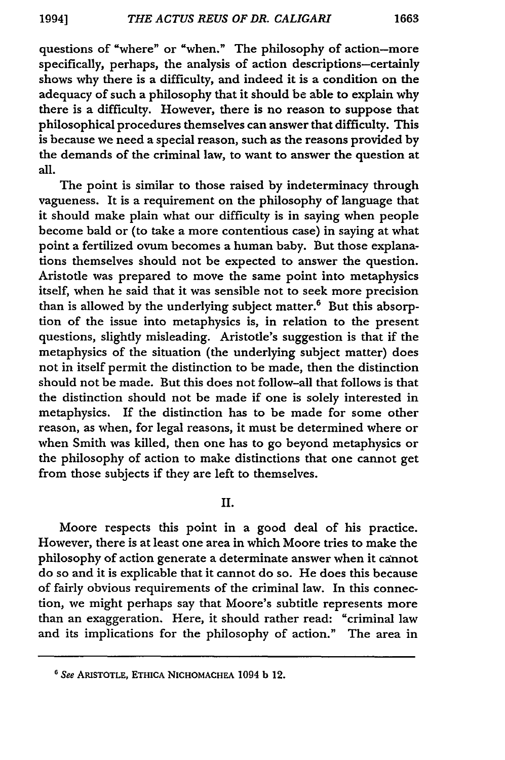questions of "where" or "when." The philosophy of action-more specifically, perhaps, the analysis of action descriptions-certainly shows why there is a difficulty, and indeed it is a condition on the adequacy of such a philosophy that it should be able to explain why there is a difficulty. However, there is no reason to suppose that philosophical procedures themselves can answer that difficulty. This is because we need a special reason, such as the reasons provided by the demands of the criminal law, to want to answer the question at all.

The point is similar to those raised by indeterminacy through vagueness. It is a requirement on the philosophy of language that it should make plain what our difficulty is in saying when people become bald or (to take a more contentious case) in saying at what point a fertilized ovum becomes a human baby. But those explanations themselves should not be expected to answer the question. Aristotle was prepared to move the same point into metaphysics itself, when he said that it was sensible not to seek more precision than is allowed by the underlying subject matter.<sup>6</sup> But this absorption of the issue into metaphysics is, in relation to the present questions, slightly misleading. Aristotle's suggestion is that if the metaphysics of the situation (the underlying subject matter) does not in itself permit the distinction to be made, then the distinction should not be made. But this does not follow-all that follows is that the distinction should not be made if one is solely interested in metaphysics. If the distinction has to be made for some other reason, as when, for legal reasons, it must be determined where or when Smith was killed, then one has to go beyond metaphysics or the philosophy of action to make distinctions that one cannot get from those subjects if they are left to themselves.

II.

Moore respects this point in a good deal of his practice. However, there is at least one area in which Moore tries to make the philosophy of action generate a determinate answer when it cannot do so and it is explicable that it cannot do so. He does this because of fairly obvious requirements of the criminal law. In this connection, we might perhaps say that Moore's subtitle represents more than an exaggeration. Here, it should rather read: "criminal law and its implications for the philosophy of action." The area in

*<sup>6</sup> See* **AISTOTLE,** ETHICA NICHOMACHEA 1094 **b** 12.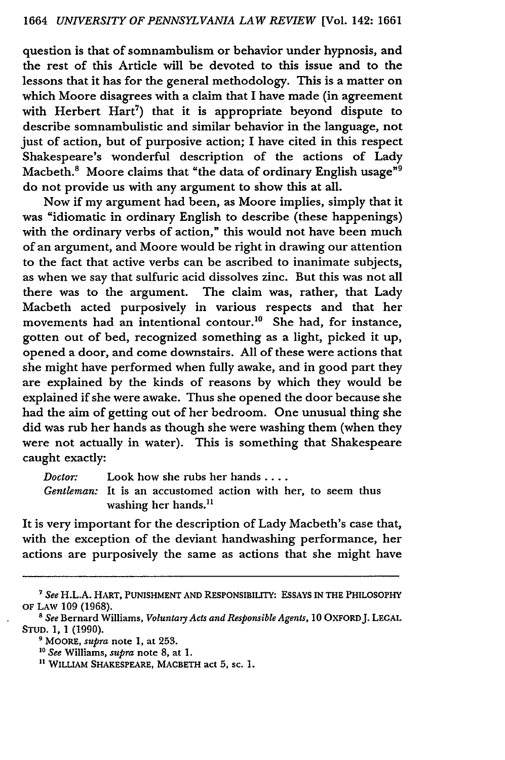question is that of somnambulism or behavior under hypnosis, and the rest of this Article will be devoted to this issue and to the lessons that it has for the general methodology. This is a matter on which Moore disagrees with a claim that I have made (in agreement with Herbert Hart<sup>7</sup>) that it is appropriate beyond dispute to describe somnambulistic and similar behavior in the language, not just of action, but of purposive action; I have cited in this respect Shakespeare's wonderful description of the actions of Lady Macbeth.<sup>8</sup> Moore claims that "the data of ordinary English usage"<sup>9</sup> do not provide us with any argument to show this at all.

Now if my argument had been, as Moore implies, simply that it was "idiomatic in ordinary English to describe (these happenings) with the ordinary verbs of action," this would not have been much of an argument, and Moore would be right in drawing our attention to the fact that active verbs can be ascribed to inanimate subjects, as when we say that sulfuric acid dissolves zinc. But this was not all there was to the argument. The claim was, rather, that Lady Macbeth acted purposively in various respects and that her movements had an intentional contour.<sup>10</sup> She had, for instance, gotten out of bed, recognized something as a light, picked it up, opened a door, and come downstairs. All of these were actions that she might have performed when fully awake, and in good part they are explained **by** the kinds of reasons by which they would be explained if she were awake. Thus she opened the door because she had the aim of getting out of her bedroom. One unusual thing she did was rub her hands as though she were washing them (when they were not actually in water). This is something that Shakespeare caught exactly:

*Doctor:* Look how she rubs her hands .... *Gentleman:* It is an accustomed action with her, to seem thus washing her hands.<sup>11</sup>

It is very important for the description of Lady Macbeth's case that, with the exception of the deviant handwashing performance, her actions are purposively the same as actions that she might have

*<sup>7</sup>See* H.L.A. HART, **PUNISHMENT AND** RESPONSIBILITY: **ESSAYS** IN THE PHILOSOPHY OF LAW 109 (1968). *'See* Bernard Williams, *Voluntay Acts and Responsible Agents,* 10 OXFORDJ. LEGAL

**STUD.** 1, 1 (1990).

**<sup>9</sup>** MOORE, *supra* note 1, at 253.

*<sup>10</sup> See* Williams, *supra* note 8, at 1.

**<sup>11</sup>** WILLIAM SHAKESPEARE, MACBETH act 5, sc. 1.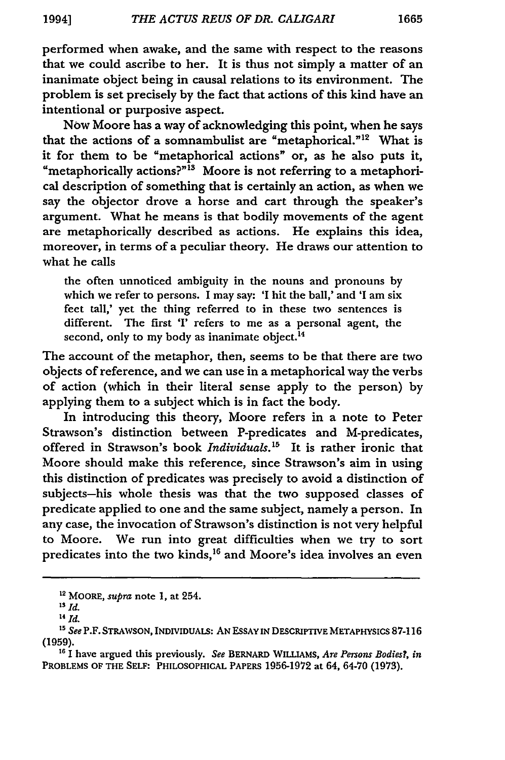performed when awake, and the same with respect to the reasons that we could ascribe to her. It is thus not simply a matter of an inanimate object being in causal relations to its environment. The problem is set precisely by the fact that actions of this kind have an intentional or purposive aspect.

**Now** Moore has a way of acknowledging this point, when he says that the actions of a somnambulist are "metaphorical."12 What is it for them to be "metaphorical actions" or, as he also puts it, "metaphorically actions?"<sup>13</sup> Moore is not referring to a metaphorical description of something that is certainly an action, as when we say the objector drove a horse and cart through the speaker's argument. What he means is that bodily movements of the agent are metaphorically described as actions. He explains this idea, moreover, in terms of a peculiar theory. He draws our attention to what he calls

the often unnoticed ambiguity in the nouns and pronouns **by** which we refer to persons. I may say: 'I hit the ball,' and 'I am six feet tall,' yet the thing referred to in these two sentences is different. The first 'I' refers to me as a personal agent, the second, only to my body as inanimate object.<sup>14</sup>

The account of the metaphor, then, seems to be that there are two objects of reference, and we can use in a metaphorical way the verbs of action (which in their literal sense apply to the person) by applying them to a subject which is in fact the body.

In introducing this theory, Moore refers in a note to Peter Strawson's distinction between P-predicates and M-predicates, offered in Strawson's book *Individuals."5* It is rather ironic that Moore should make this reference, since Strawson's aim in using this distinction of predicates was precisely to avoid a distinction of subjects-his whole thesis was that the two supposed classes of predicate applied to one and the same subject, namely a person. In any case, the invocation of Strawson's distinction is not very helpful to Moore. We run into great difficulties when we try to sort predicates into the two kinds, 16 and Moore's idea involves an even

<sup>12</sup> MOORE, *supra* note 1, at 254.

*Is Id.*

*<sup>14</sup> Id.*

*<sup>15</sup> See* P.F. STRAWSON, INDIVIDUALS: **AN** ESSAY IN DESCRIPTIVE METAPHYSICS **87-116 (1959).**

**<sup>16</sup>**1 have argued this previously. *See* BERNARD WILLIAMS, *Are Persons Bodies?, in* PROBLEMS OF THE **SELF:** PHILOSOPHICAL PAPERS **1956-1972** at 64, 64-70 **(1973).**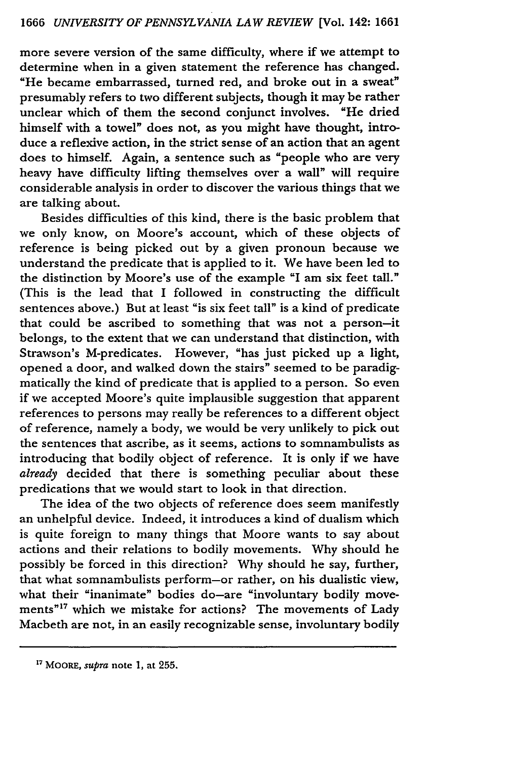more severe version of the same difficulty, where if we attempt to determine when in a given statement the reference has changed. "He became embarrassed, turned red, and broke out in a sweat" presumably refers to two different subjects, though it may be rather unclear which of them the second conjunct involves. "He dried himself with a towel" does not, as you might have thought, introduce a reflexive action, in the strict sense of an action that an agent does to himself. Again, a sentence such as "people who are very heavy have difficulty lifting themselves over a wall" will require considerable analysis in order to discover the various things that we are talking about.

Besides difficulties of this kind, there is the basic problem that we only know, on Moore's account, which of these objects of reference is being picked out by a given pronoun because we understand the predicate that is applied to it. We have been led to the distinction by Moore's use of the example "I am six feet tall." (This is the lead that I followed in constructing the difficult sentences above.) But at least "is six feet tall" is a kind of predicate that could be ascribed to something that was not a person-it belongs, to the extent that we can understand that distinction, with Strawson's M-predicates. However, "has just picked up a light, opened a door, and walked down the stairs" seemed to be paradigmatically the kind of predicate that is applied to a person. So even if we accepted Moore's quite implausible suggestion that apparent references to persons may really be references to a different object of reference, namely a body, we would be very unlikely to pick out the sentences that ascribe, as it seems, actions to somnambulists as introducing that bodily object of reference. It is only if we have *already* decided that there is something peculiar about these predications that we would start to look in that direction.

The idea of the two objects of reference does seem manifestly an unhelpful device. Indeed, it introduces a kind of dualism which is quite foreign to many things that Moore wants to say about actions and their relations to bodily movements. Why should he possibly be forced in this direction? Why should he say, further, that what somnambulists perform-or rather, on his dualistic view, what their "inanimate" bodies do-are "involuntary bodily movements"<sup>17</sup> which we mistake for actions? The movements of Lady Macbeth are not, in an easily recognizable sense, involuntary bodily

**<sup>17</sup>** MOORE, *supra* note 1, at 255.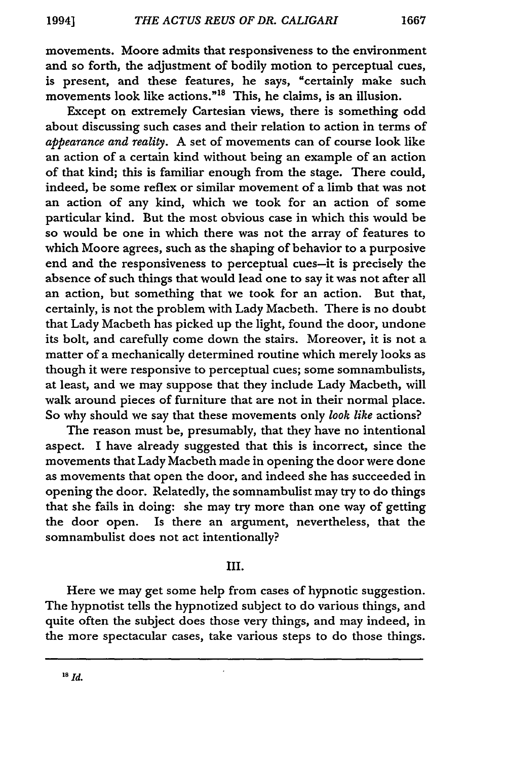movements. Moore admits that responsiveness to the environment and so forth, the adjustment of bodily motion to perceptual cues, is present, and these features, he says, "certainly make such movements look like actions."<sup>18</sup> This, he claims, is an illusion.

Except on extremely Cartesian views, there is something odd about discussing such cases and their relation to action in terms of *appearance and reality.* A set of movements can of course look like an action of a certain kind without being an example of an action of that kind; this is familiar enough from the stage. There could, indeed, be some reflex or similar movement of a limb that was not an action of any kind, which we took for an action of some particular kind. But the most obvious case in which this would be so would be one in which there was not the array of features to which Moore agrees, such as the shaping of behavior to a purposive end and the responsiveness to perceptual cues-it is precisely the absence of such things that would lead one to say it was not after all an action, but something that we took for an action. But that, certainly, is not the problem with Lady Macbeth. There is no doubt that Lady Macbeth has picked up the light, found the door, undone its bolt, and carefully come down the stairs. Moreover, it is not a matter of a mechanically determined routine which merely looks as though it were responsive to perceptual cues; some somnambulists, at least, and we may suppose that they include Lady Macbeth, will walk around pieces of furniture that are not in their normal place. So why should we say that these movements only *look like* actions?

The reason must be, presumably, that they have no intentional aspect. I have already suggested that this is incorrect, since the movements that Lady Macbeth made in opening the door were done as movements that open the door, and indeed she has succeeded in opening the door. Relatedly, the somnambulist may try to do things that she fails in doing: she may try more than one way of getting the door open. Is there an argument, nevertheless, that the somnambulist does not act intentionally?

## III.

Here we may get some help from cases of hypnotic suggestion. The hypnotist tells the hypnotized subject to do various things, and quite often the subject does those very things, and may indeed, in the more spectacular cases, take various steps to do those things.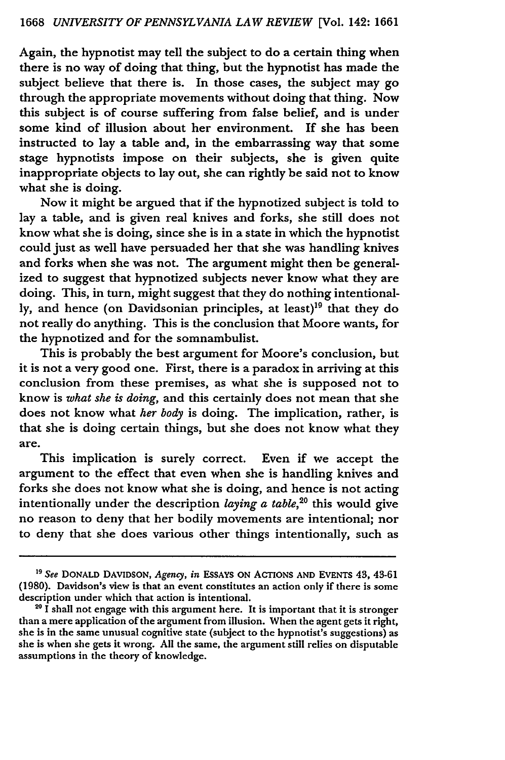Again, the hypnotist may tell the subject to do a certain thing when there is no way of doing that thing, but the hypnotist has made the subject believe that there is. In those cases, the subject may go through the appropriate movements without doing that thing. Now this subject is of course suffering from false belief, and is under some kind of illusion about her environment. If she has been instructed to lay a table and, in the embarrassing way that some stage hypnotists impose on their subjects, she is given quite inappropriate objects to lay out, she can rightly be said not to know what she is doing.

Now it might be argued that if the hypnotized subject is told to lay a table, and is given real knives and forks, she still does not know what she is doing, since she is in a state in which the hypnotist could just as well have persuaded her that she was handling knives and forks when she was not. The argument might then be generalized to suggest that hypnotized subjects never know what they are doing. This, in turn, might suggest that they do nothing intentional**ly,** and hence (on Davidsonian principles, at least)"9 that they do not really do anything. This is the conclusion that Moore wants, for the hypnotized and for the somnambulist.

This is probably the best argument for Moore's conclusion, but it is not a very good one. First, there is a paradox in arriving at this conclusion from these premises, as what she is supposed not to know is *what she is doing,* and this certainly does not mean that she does not know what *her body* is doing. The implication, rather, is that she is doing certain things, but she does not know what they are.

This implication is surely correct. Even if we accept the argument to the effect that even when she is handling knives and forks she does not know what she is doing, and hence is not acting intentionally under the description *laying a table*,<sup>20</sup> this would give no reason to deny that her bodily movements are intentional; nor to deny that she does various other things intentionally, such as

*<sup>19</sup> See* DONALD **DAVIDSON,** *Agency, in* ESSAYS ON ACTIONS **AND** EVENTS 43, 43-61 (1980). Davidson's view is that an event constitutes an action only if there is some description under which that action is intentional.

<sup>&</sup>lt;sup>20</sup> I shall not engage with this argument here. It is important that it is stronger than a mere application of the argument from illusion. When the agent gets it right, she is in the same unusual cognitive state (subject to the hypnotist's suggestions) as she is when she gets it wrong. All the same, the argument still relies on disputable assumptions in the theory of knowledge.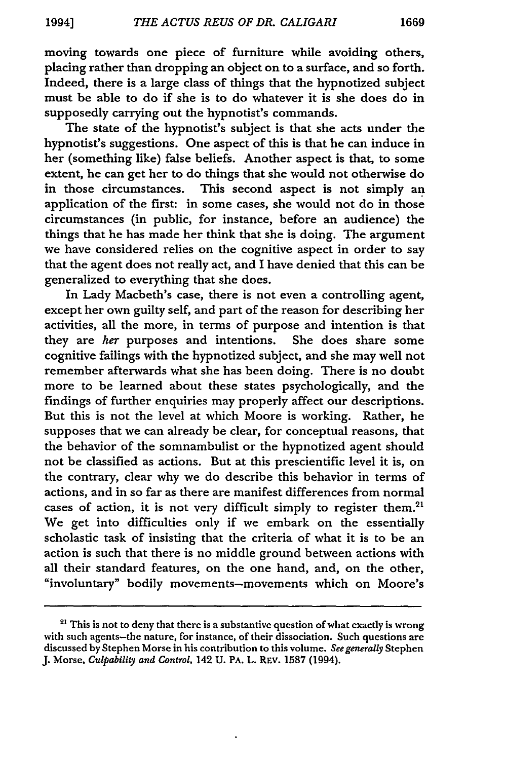moving towards one piece of furniture while avoiding others, placing rather than dropping an object on to a surface, and so forth. Indeed, there is a large class of things that the hypnotized subject must be able to do if she is to do whatever it is she does do in supposedly carrying out the hypnotist's commands.

The state of the hypnotist's subject is that she acts under the hypnotist's suggestions. One aspect of this is that he can induce in her (something like) false beliefs. Another aspect is that, to some extent, he can get her to do things that she would not otherwise do in those circumstances. This second aspect is not simply an application of the first: in some cases, she would not do in those circumstances (in public, for instance, before an audience) the things that he has made her think that she is doing. The argument we have considered relies on the cognitive aspect in order to say that the agent does not really act, and I have denied that this can be generalized to everything that she does.

In Lady Macbeth's case, there is not even a controlling agent, except her own guilty self, and part of the reason for describing her activities, all the more, in terms of purpose and intention is that they are her purposes and intentions. She does share some cognitive failings with the hypnotized subject, and she may well not remember afterwards what she has been doing. There is no doubt more to be learned about these states psychologically, and the findings of further enquiries may properly affect our descriptions. But this is not the level at which Moore is working. Rather, he supposes that we can already be clear, for conceptual reasons, that the behavior of the somnambulist or the hypnotized agent should not be classified as actions. But at this prescientific level it is, on the contrary, clear why we do describe this behavior in terms of actions, and in so far as there are manifest differences from normal cases of action, it is not very difficult simply to register them.<sup>2</sup> We get into difficulties only if we embark on the essentially scholastic task of insisting that the criteria of what it is to be an action is such that there is no middle ground between actions with all their standard features, on the one hand, and, on the other, "involuntary" bodily movements-movements which on Moore's

**<sup>21</sup>**This is not to deny that there is a substantive question of what exactly is wrong with such agents-the nature, for instance, of their dissociation. Such questions are discussed **by** Stephen Morse in his contribution to this volume. *See generally* Stephen **J.** Morse, *Culpability and Control,* 142 **U.** PA. L. **REV. 1587** (1994).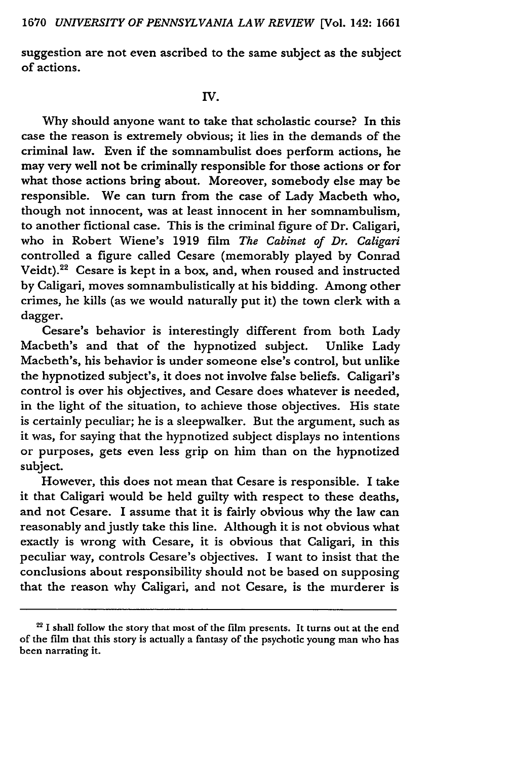suggestion are not even ascribed to the same subject as the subject of actions.

## IV.

Why should anyone want to take that scholastic course? In this case the reason is extremely obvious; it lies in the demands of the criminal law. Even if the somnambulist does perform actions, he may very well not be criminally responsible for those actions or for what those actions bring about. Moreover, somebody else may be responsible. We can turn from the case of Lady Macbeth who, though not innocent, was at least innocent in her somnambulism, to another fictional case. This is the criminal figure of Dr. Caligari, who in Robert Wiene's 1919 film *The Cabinet of Dr. Caligari* controlled a figure called Cesare (memorably played by Conrad Veidt).<sup>22</sup> Cesare is kept in a box, and, when roused and instructed by Caligari, moves somnambulistically at his bidding. Among other crimes, he kills (as we would naturally put it) the town clerk with a dagger.

Cesare's behavior is interestingly different from both Lady Macbeth's and that of the hypnotized subject. Unlike Lady Macbeth's, his behavior is under someone else's control, but unlike the hypnotized subject's, it does not involve false beliefs. Caligari's control is over his objectives, and Cesare does whatever is needed, in the light of the situation, to achieve those objectives. His state is certainly peculiar; he is a sleepwalker. But the argument, such as it was, for saying that the hypnotized subject displays no intentions or purposes, gets even less grip on him than on the hypnotized subject.

However, this does not mean that Cesare is responsible. I take it that Caligari would be held guilty with respect to these deaths, and not Cesare. I assume that it is fairly obvious why the law can reasonably and justly take this line. Although it is not obvious what exactly is wrong with Cesare, it is obvious that Caligari, in this peculiar way, controls Cesare's objectives. I want to insist that the conclusions about responsibility should not be based on supposing that the reason why Caligari, and not Cesare, is the murderer is

<sup>&</sup>lt;sup>22</sup> I shall follow the story that most of the film presents. It turns out at the end of the film that this story is actually a fantasy of the psychotic young man who has been narrating it.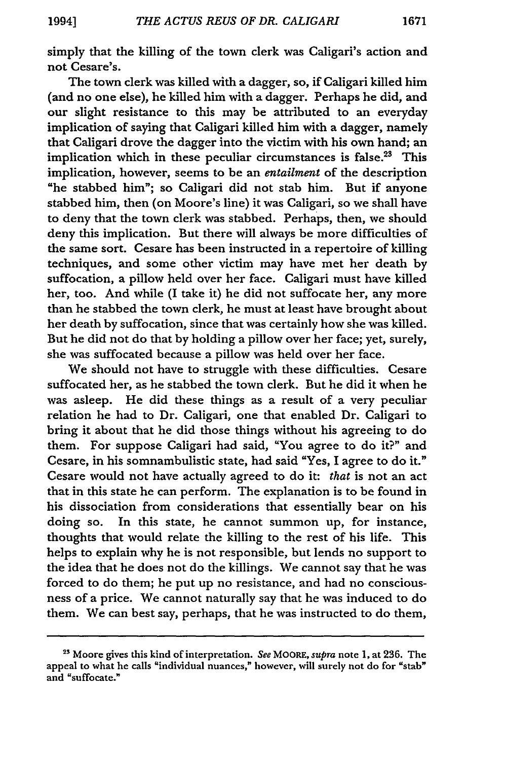simply that the killing of the town clerk was Caligari's action and not Cesare's.

The town clerk was killed with a dagger, so, if Caligari killed him (and no one else), he killed him with a dagger. Perhaps he did, and our slight resistance to this may be attributed to an everyday implication of saying that Caligari killed him with a dagger, namely that Caligari drove the dagger into the victim with his own hand; an implication which in these peculiar circumstances is false.<sup>23</sup> This implication, however, seems to be an *entailment* of the description "he stabbed him"; so Caligari did not stab him. But if anyone stabbed him, then (on Moore's line) it was Caligari, so we shall have to deny that the town clerk was stabbed. Perhaps, then, we should deny this implication. But there will always be more difficulties of the same sort. Cesare has been instructed in a repertoire of killing techniques, and some other victim may have met her death by suffocation, a pillow held over her face. Caligari must have killed her, too. And while (I take it) he did not suffocate her, any more than he stabbed the town clerk, he must at least have brought about her death by suffocation, since that was certainly how she was killed. But he did not do that by holding a pillow over her face; yet, surely, she was suffocated because a pillow was held over her face.

We should not have to struggle with these difficulties. Cesare suffocated her, as he stabbed the town clerk. But he did it when he was asleep. He did these things as a result of a very peculiar relation he had to Dr. Caligari, one that enabled Dr. Caligari to bring it about that he did those things without his agreeing to do them. For suppose Caligari had said, "You agree to do it?" and Cesare, in his somnambulistic state, had said "Yes, I agree to do it." Cesare would not have actually agreed to do it: *that* is not an act that in this state he can perform. The explanation is to be found in his dissociation from considerations that essentially bear on his doing so. **In** this state, he cannot summon up, for instance, thoughts that would relate the killing to the rest of his life. This helps to explain why he is not responsible, but lends no support to the idea that he does not do the killings. We cannot say that he was forced to do them; he put up no resistance, and had no consciousness of a price. We cannot naturally say that he was induced to do them. We can best say, perhaps, that he was instructed to do them,

**<sup>2</sup>s** Moore gives this kind of interpretation. *See* MOORE, *supra* note 1, at 236. The appeal to what he calls "individual nuances," however, will surely not do for "stab" and "suffocate."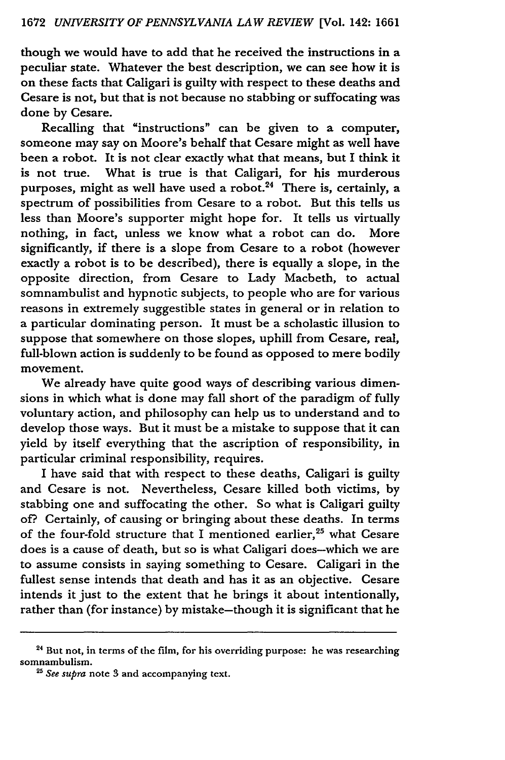though we would have to add that he received the instructions in a peculiar state. Whatever the best description, we can see how it is on these facts that Caligari is guilty with respect to these deaths and Cesare is not, but that is not because no stabbing or suffocating was done by Cesare.

Recalling that "instructions" can be given to a computer, someone may say on Moore's behalf that Cesare might as well have been a robot. It is not clear exactly what that means, but I think it is not true. What is true is that Caligari, for his murderous purposes, might as well have used a robot.<sup>24</sup> There is, certainly, a spectrum of possibilities from Cesare to a robot. But this tells us less than Moore's supporter might hope for. It tells us virtually nothing, in fact, unless we know what a robot can do. More significantly, if there is a slope from Cesare to a robot (however exactly a robot is to be described), there is equally a slope, in the opposite direction, from Cesare to Lady Macbeth, to actual somnambulist and hypnotic subjects, to people who are for various reasons in extremely suggestible states in general or in relation to a particular dominating person. It must be a scholastic illusion to suppose that somewhere on those slopes, uphill from Cesare, real, full-blown action is suddenly to be found as opposed to mere bodily movement.

We already have quite good ways of describing various dimensions in which what is done may fall short of the paradigm of fully voluntary action, and philosophy can help us to understand and to develop those ways. But it must be a mistake to suppose that it can yield by itself everything that the ascription of responsibility, in particular criminal responsibility, requires.

I have said that with respect to these deaths, Caligari is guilty and Cesare is not. Nevertheless, Cesare killed both victims, by stabbing one and suffocating the other. So what is Caligari guilty of? Certainly, of causing or bringing about these deaths. In terms of the four-fold structure that I mentioned earlier,<sup>25</sup> what Cesare does is a cause of death, but so is what Caligari does-which we are to assume consists in saying something to Cesare. Caligari in the fullest sense intends that death and has it as an objective. Cesare intends it just to the extent that he brings it about intentionally, rather than (for instance) by mistake-though it is significant that he

<sup>&</sup>lt;sup>24</sup> But not, in terms of the film, for his overriding purpose: he was researching somnambulism.

*<sup>21</sup> See supra* note 3 and accompanying text.